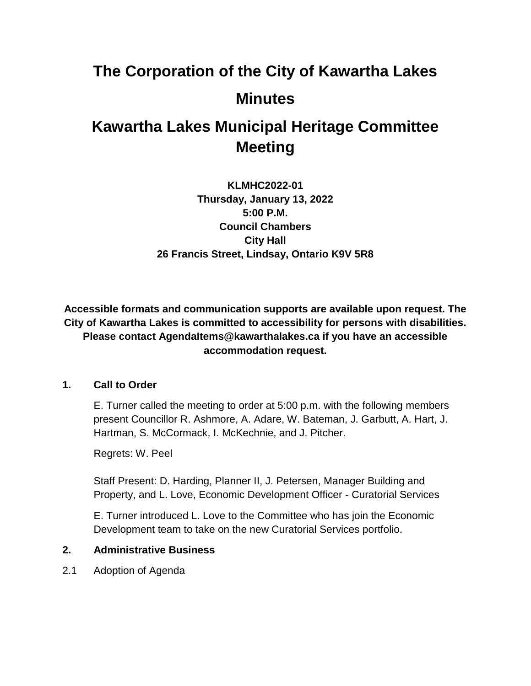# **The Corporation of the City of Kawartha Lakes Minutes**

# **Kawartha Lakes Municipal Heritage Committee Meeting**

**KLMHC2022-01 Thursday, January 13, 2022 5:00 P.M. Council Chambers City Hall 26 Francis Street, Lindsay, Ontario K9V 5R8**

**Accessible formats and communication supports are available upon request. The City of Kawartha Lakes is committed to accessibility for persons with disabilities. Please contact AgendaItems@kawarthalakes.ca if you have an accessible accommodation request.** 

# **1. Call to Order**

E. Turner called the meeting to order at 5:00 p.m. with the following members present Councillor R. Ashmore, A. Adare, W. Bateman, J. Garbutt, A. Hart, J. Hartman, S. McCormack, I. McKechnie, and J. Pitcher.

Regrets: W. Peel

Staff Present: D. Harding, Planner II, J. Petersen, Manager Building and Property, and L. Love, Economic Development Officer - Curatorial Services

E. Turner introduced L. Love to the Committee who has join the Economic Development team to take on the new Curatorial Services portfolio.

# **2. Administrative Business**

2.1 Adoption of Agenda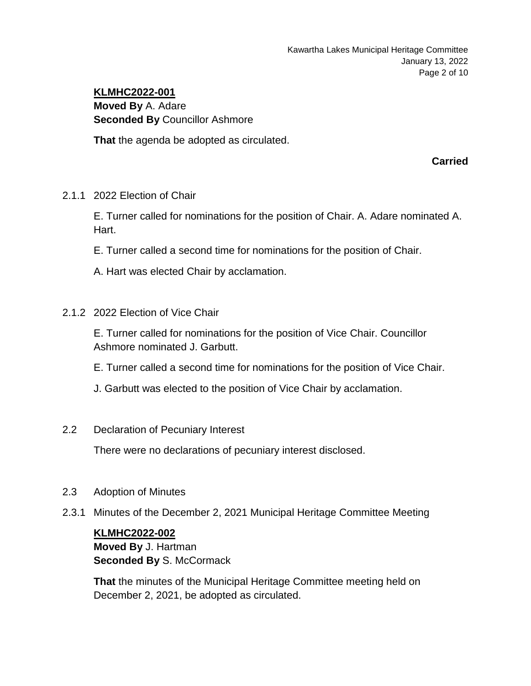# **KLMHC2022-001 Moved By** A. Adare **Seconded By** Councillor Ashmore

**That** the agenda be adopted as circulated.

**Carried**

2.1.1 2022 Election of Chair

E. Turner called for nominations for the position of Chair. A. Adare nominated A. Hart.

- E. Turner called a second time for nominations for the position of Chair.
- A. Hart was elected Chair by acclamation.
- 2.1.2 2022 Election of Vice Chair

E. Turner called for nominations for the position of Vice Chair. Councillor Ashmore nominated J. Garbutt.

- E. Turner called a second time for nominations for the position of Vice Chair.
- J. Garbutt was elected to the position of Vice Chair by acclamation.
- 2.2 Declaration of Pecuniary Interest

There were no declarations of pecuniary interest disclosed.

- 2.3 Adoption of Minutes
- 2.3.1 Minutes of the December 2, 2021 Municipal Heritage Committee Meeting

# **KLMHC2022-002**

**Moved By** J. Hartman **Seconded By S. McCormack** 

**That** the minutes of the Municipal Heritage Committee meeting held on December 2, 2021, be adopted as circulated.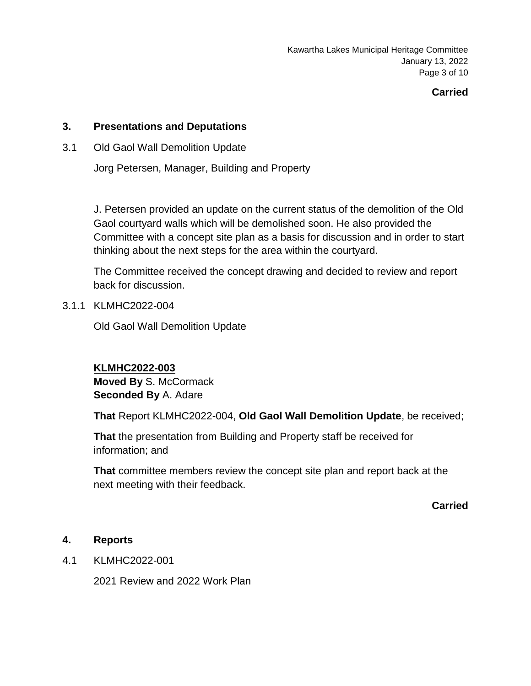Kawartha Lakes Municipal Heritage Committee January 13, 2022 Page 3 of 10

# **Carried**

# **3. Presentations and Deputations**

3.1 Old Gaol Wall Demolition Update

Jorg Petersen, Manager, Building and Property

J. Petersen provided an update on the current status of the demolition of the Old Gaol courtyard walls which will be demolished soon. He also provided the Committee with a concept site plan as a basis for discussion and in order to start thinking about the next steps for the area within the courtyard.

The Committee received the concept drawing and decided to review and report back for discussion.

# 3.1.1 KLMHC2022-004

Old Gaol Wall Demolition Update

# **KLMHC2022-003**

**Moved By** S. McCormack **Seconded By** A. Adare

**That** Report KLMHC2022-004, **Old Gaol Wall Demolition Update**, be received;

**That** the presentation from Building and Property staff be received for information; and

**That** committee members review the concept site plan and report back at the next meeting with their feedback.

**Carried**

# **4. Reports**

4.1 KLMHC2022-001

2021 Review and 2022 Work Plan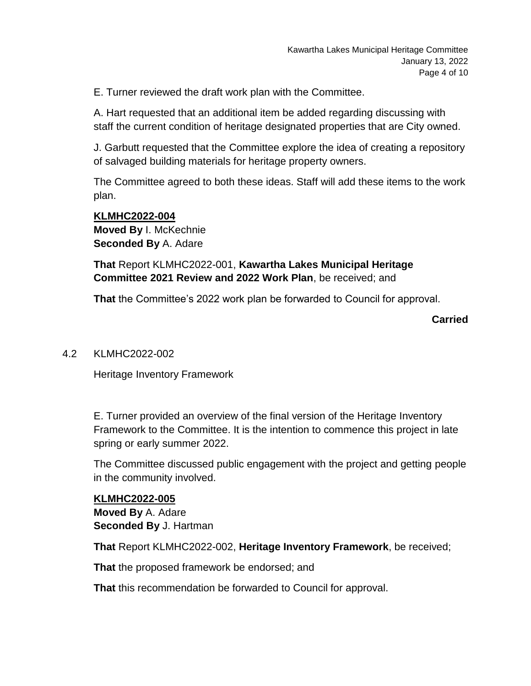E. Turner reviewed the draft work plan with the Committee.

A. Hart requested that an additional item be added regarding discussing with staff the current condition of heritage designated properties that are City owned.

J. Garbutt requested that the Committee explore the idea of creating a repository of salvaged building materials for heritage property owners.

The Committee agreed to both these ideas. Staff will add these items to the work plan.

**KLMHC2022-004 Moved By** I. McKechnie **Seconded By** A. Adare

**That** Report KLMHC2022-001, **Kawartha Lakes Municipal Heritage Committee 2021 Review and 2022 Work Plan**, be received; and

**That** the Committee's 2022 work plan be forwarded to Council for approval.

**Carried**

#### 4.2 KLMHC2022-002

Heritage Inventory Framework

E. Turner provided an overview of the final version of the Heritage Inventory Framework to the Committee. It is the intention to commence this project in late spring or early summer 2022.

The Committee discussed public engagement with the project and getting people in the community involved.

# **KLMHC2022-005**

**Moved By** A. Adare **Seconded By** J. Hartman

**That** Report KLMHC2022-002, **Heritage Inventory Framework**, be received;

**That** the proposed framework be endorsed; and

**That** this recommendation be forwarded to Council for approval.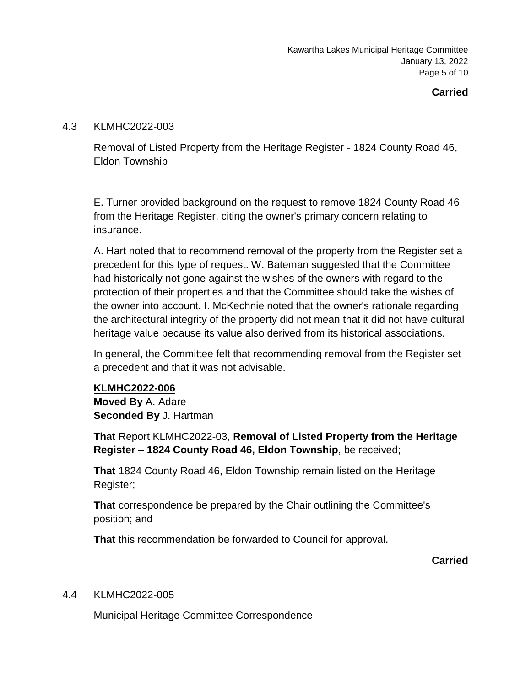Kawartha Lakes Municipal Heritage Committee January 13, 2022 Page 5 of 10

# **Carried**

# 4.3 KLMHC2022-003

Removal of Listed Property from the Heritage Register - 1824 County Road 46, Eldon Township

E. Turner provided background on the request to remove 1824 County Road 46 from the Heritage Register, citing the owner's primary concern relating to insurance.

A. Hart noted that to recommend removal of the property from the Register set a precedent for this type of request. W. Bateman suggested that the Committee had historically not gone against the wishes of the owners with regard to the protection of their properties and that the Committee should take the wishes of the owner into account. I. McKechnie noted that the owner's rationale regarding the architectural integrity of the property did not mean that it did not have cultural heritage value because its value also derived from its historical associations.

In general, the Committee felt that recommending removal from the Register set a precedent and that it was not advisable.

# **KLMHC2022-006**

**Moved By** A. Adare **Seconded By** J. Hartman

**That** Report KLMHC2022-03, **Removal of Listed Property from the Heritage Register – 1824 County Road 46, Eldon Township**, be received;

**That** 1824 County Road 46, Eldon Township remain listed on the Heritage Register;

**That** correspondence be prepared by the Chair outlining the Committee's position; and

**That** this recommendation be forwarded to Council for approval.

**Carried**

# 4.4 KLMHC2022-005

Municipal Heritage Committee Correspondence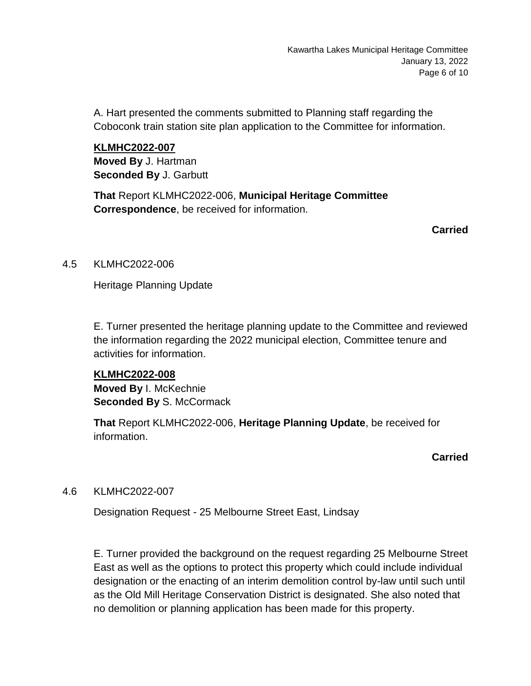A. Hart presented the comments submitted to Planning staff regarding the Coboconk train station site plan application to the Committee for information.

**KLMHC2022-007 Moved By** J. Hartman **Seconded By** J. Garbutt

**That** Report KLMHC2022-006, **Municipal Heritage Committee Correspondence**, be received for information.

**Carried**

# 4.5 KLMHC2022-006

Heritage Planning Update

E. Turner presented the heritage planning update to the Committee and reviewed the information regarding the 2022 municipal election, Committee tenure and activities for information.

**KLMHC2022-008 Moved By** I. McKechnie **Seconded By S. McCormack** 

**That** Report KLMHC2022-006, **Heritage Planning Update**, be received for information.

**Carried**

# 4.6 KLMHC2022-007

Designation Request - 25 Melbourne Street East, Lindsay

E. Turner provided the background on the request regarding 25 Melbourne Street East as well as the options to protect this property which could include individual designation or the enacting of an interim demolition control by-law until such until as the Old Mill Heritage Conservation District is designated. She also noted that no demolition or planning application has been made for this property.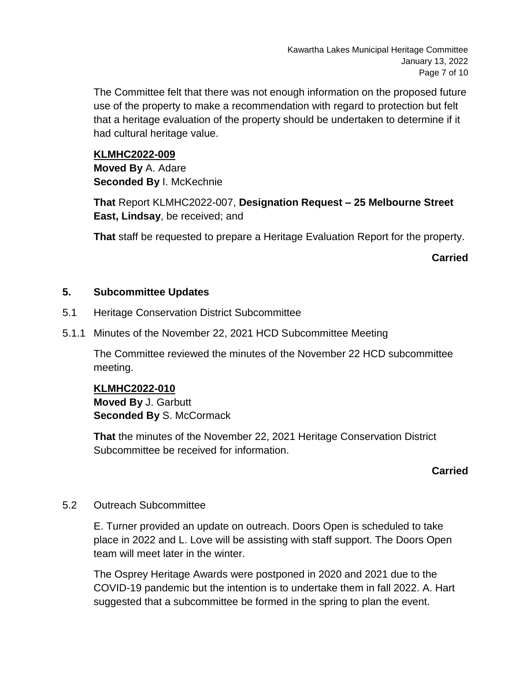The Committee felt that there was not enough information on the proposed future use of the property to make a recommendation with regard to protection but felt that a heritage evaluation of the property should be undertaken to determine if it had cultural heritage value.

# **KLMHC2022-009**

**Moved By** A. Adare **Seconded By** I. McKechnie

**That** Report KLMHC2022-007, **Designation Request – 25 Melbourne Street East, Lindsay**, be received; and

**That** staff be requested to prepare a Heritage Evaluation Report for the property.

**Carried**

# **5. Subcommittee Updates**

- 5.1 Heritage Conservation District Subcommittee
- 5.1.1 Minutes of the November 22, 2021 HCD Subcommittee Meeting

The Committee reviewed the minutes of the November 22 HCD subcommittee meeting.

# **KLMHC2022-010**

**Moved By** J. Garbutt **Seconded By** S. McCormack

**That** the minutes of the November 22, 2021 Heritage Conservation District Subcommittee be received for information.

# **Carried**

# 5.2 Outreach Subcommittee

E. Turner provided an update on outreach. Doors Open is scheduled to take place in 2022 and L. Love will be assisting with staff support. The Doors Open team will meet later in the winter.

The Osprey Heritage Awards were postponed in 2020 and 2021 due to the COVID-19 pandemic but the intention is to undertake them in fall 2022. A. Hart suggested that a subcommittee be formed in the spring to plan the event.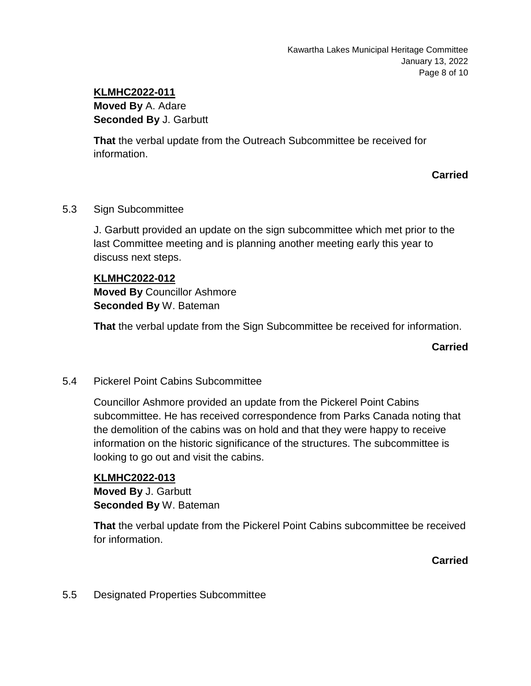# **KLMHC2022-011**

**Moved By** A. Adare **Seconded By** J. Garbutt

**That** the verbal update from the Outreach Subcommittee be received for information.

**Carried**

# 5.3 Sign Subcommittee

J. Garbutt provided an update on the sign subcommittee which met prior to the last Committee meeting and is planning another meeting early this year to discuss next steps.

#### **KLMHC2022-012**

**Moved By** Councillor Ashmore **Seconded By** W. Bateman

**That** the verbal update from the Sign Subcommittee be received for information.

**Carried**

# 5.4 Pickerel Point Cabins Subcommittee

Councillor Ashmore provided an update from the Pickerel Point Cabins subcommittee. He has received correspondence from Parks Canada noting that the demolition of the cabins was on hold and that they were happy to receive information on the historic significance of the structures. The subcommittee is looking to go out and visit the cabins.

#### **KLMHC2022-013**

**Moved By** J. Garbutt **Seconded By** W. Bateman

**That** the verbal update from the Pickerel Point Cabins subcommittee be received for information.

**Carried**

5.5 Designated Properties Subcommittee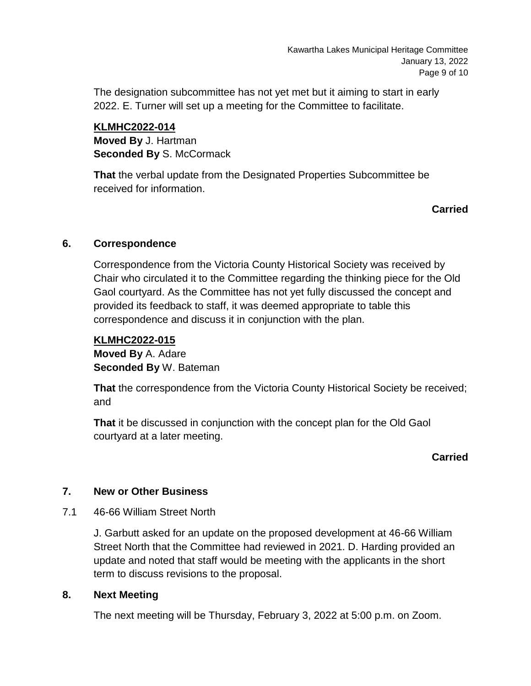The designation subcommittee has not yet met but it aiming to start in early 2022. E. Turner will set up a meeting for the Committee to facilitate.

**KLMHC2022-014 Moved By** J. Hartman **Seconded By S. McCormack** 

**That** the verbal update from the Designated Properties Subcommittee be received for information.

# **Carried**

# **6. Correspondence**

Correspondence from the Victoria County Historical Society was received by Chair who circulated it to the Committee regarding the thinking piece for the Old Gaol courtyard. As the Committee has not yet fully discussed the concept and provided its feedback to staff, it was deemed appropriate to table this correspondence and discuss it in conjunction with the plan.

# **KLMHC2022-015**

**Moved By** A. Adare **Seconded By** W. Bateman

**That** the correspondence from the Victoria County Historical Society be received; and

**That** it be discussed in conjunction with the concept plan for the Old Gaol courtyard at a later meeting.

# **Carried**

# **7. New or Other Business**

7.1 46-66 William Street North

J. Garbutt asked for an update on the proposed development at 46-66 William Street North that the Committee had reviewed in 2021. D. Harding provided an update and noted that staff would be meeting with the applicants in the short term to discuss revisions to the proposal.

# **8. Next Meeting**

The next meeting will be Thursday, February 3, 2022 at 5:00 p.m. on Zoom.